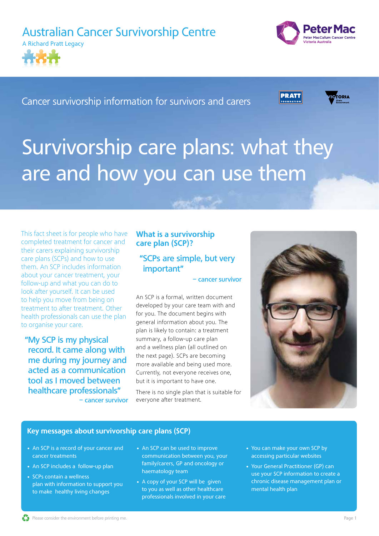



Cancer survivorship information for survivors and carers

**PRATI** 



# Survivorship care plans: what they are and how you can use them

This fact sheet is for people who have completed treatment for cancer and their carers explaining survivorship care plans (SCPs) and how to use them. An SCP includes information about your cancer treatment, your follow-up and what you can do to look after yourself. It can be used to help you move from being on treatment to after treatment. Other health professionals can use the plan to organise your care.

**"My SCP is my physical record. It came along with me during my journey and acted as a communication tool as I moved between healthcare professionals" – cancer survivor**

# What is a survivorship care plan (SCP)?

# **"SCPs are simple, but very important"**

**– cancer survivor**

An SCP is a formal, written document developed by your care team with and for you. The document begins with general information about you. The plan is likely to contain: a treatment summary, a follow-up care plan and a wellness plan (all outlined on the next page). SCPs are becoming more available and being used more. Currently, not everyone receives one, but it is important to have one.

There is no single plan that is suitable for everyone after treatment.



## Key messages about survivorship care plans (SCP)

- An SCP is a record of your cancer and cancer treatments
- An SCP includes a follow-up plan
- SCPs contain a wellness plan with information to support you to make healthy living changes
- An SCP can be used to improve communication between you, your family/carers, GP and oncology or haematology team
- A copy of your SCP will be given to you as well as other healthcare professionals involved in your care
- You can make your own SCP by accessing particular websites
- Your General Practitioner (GP) can use your SCP information to create a chronic disease management plan or mental health plan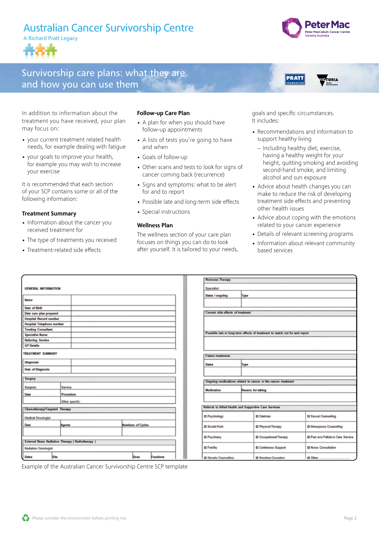



**ICTORIA** 

# Survivorship care plans: what they are and how you can use them

In addition to information about the treatment you have received, your plan may focus on:

- your current treatment related health needs, for example dealing with fatigue
- your goals to improve your health, for example you may wish to increase your exercise

It is recommended that each section of your SCP contains some or all of the following information:

#### Treatment Summary

- Information about the cancer you received treatment for
- The type of treatments you received
- Treatment-related side effects

#### Follow-up Care Plan

- A plan for when you should have follow-up appointments
- A lists of tests you're going to have and when
- Goals of follow-up
- Other scans and tests to look for signs of cancer coming back (recurrence)
- Signs and symptoms: what to be alert for and to report
- Possible late and long-term side effects
- Special instructions

#### Wellness Plan

The wellness section of your care plan focuses on things you can do to look after yourself. It is tailored to your needs,

goals and specific circumstances. It includes:

**PRATT** 

- Recommendations and information to support healthy living
	- Including healthy diet, exercise, having a healthy weight for your height, quitting smoking and avoiding second-hand smoke, and limiting alcohol and sun exposure
- Advice about health changes you can make to reduce the risk of developing treatment side effects and preventing other health issues
- Advice about coping with the emotions related to your cancer experience
- Details of relevant screening programs
- Information about relevant community based services

|                                                 |      |           |  |                          |           |  | <b>Hormone Therapy</b>                                                      |      |                             |                                           |  |
|-------------------------------------------------|------|-----------|--|--------------------------|-----------|--|-----------------------------------------------------------------------------|------|-----------------------------|-------------------------------------------|--|
| <b>GENERAL INFORMATION</b>                      |      |           |  |                          |           |  | Specialist                                                                  |      |                             |                                           |  |
|                                                 |      |           |  |                          |           |  | Dates / ongoing                                                             | Type |                             |                                           |  |
| Name                                            |      |           |  |                          |           |  |                                                                             |      |                             |                                           |  |
| Date of Birth                                   |      |           |  |                          |           |  |                                                                             |      |                             |                                           |  |
| Date care plan prepared                         |      |           |  |                          |           |  | Current side effects of treatment                                           |      |                             |                                           |  |
| <b>Hospital Record number</b>                   |      |           |  |                          |           |  |                                                                             |      |                             |                                           |  |
| <b>Hospital Telephone number</b>                |      |           |  |                          |           |  |                                                                             |      |                             |                                           |  |
| <b>Treating Consultant</b>                      |      |           |  |                          |           |  |                                                                             |      |                             |                                           |  |
| <b>Specialist Nurse</b>                         |      |           |  |                          |           |  | Possible late or long term effects of treatment to watch out for and report |      |                             |                                           |  |
| <b>Referring Service</b>                        |      |           |  |                          |           |  |                                                                             |      |                             |                                           |  |
| <b>GP Details</b>                               |      |           |  |                          |           |  |                                                                             |      |                             |                                           |  |
| <b>TREATMENT SUMMARY</b>                        |      |           |  |                          |           |  |                                                                             |      |                             |                                           |  |
|                                                 |      |           |  |                          |           |  | <b>Future treatments</b>                                                    |      |                             |                                           |  |
| Diagnosis                                       |      |           |  |                          |           |  | <b>Dates</b>                                                                | Type |                             |                                           |  |
| <b>Date of Diagnosis</b>                        |      |           |  |                          |           |  |                                                                             |      |                             |                                           |  |
| Surgery                                         |      |           |  |                          |           |  |                                                                             |      |                             |                                           |  |
|                                                 |      |           |  |                          |           |  | Ongoing medications related to cancer or the cancer treatment               |      |                             |                                           |  |
| Surgeon:                                        |      | Service:  |  |                          |           |  | Medication<br>Reason for taking                                             |      |                             |                                           |  |
| Date                                            |      | Procedure |  |                          |           |  |                                                                             |      |                             |                                           |  |
| Other specify:                                  |      |           |  |                          |           |  |                                                                             |      |                             |                                           |  |
| Chemotherapy/Targeted Therapy                   |      |           |  |                          |           |  | Referral to Allied Health and Supportive Care Services                      |      |                             |                                           |  |
| <b>Medical Oncologist:</b>                      |      |           |  |                          |           |  | <b>D</b> Psychology                                                         |      | <b>D</b> Dietician          | <b>D</b> Sexual Counselling               |  |
| Date                                            |      | Agents    |  | <b>Numbers of Cycles</b> |           |  | <b>D</b> Social Work                                                        |      | <b>D</b> Physical Therapy   | <b>Q Menopause Counseling</b>             |  |
|                                                 |      |           |  |                          |           |  |                                                                             |      |                             |                                           |  |
|                                                 |      |           |  |                          |           |  | D Psychiatry                                                                |      | O Occupational Therapy      | <b>D</b> Pain and Palliative Care Service |  |
| External Beam Radiation Therapy (Radiotherapy ) |      |           |  |                          |           |  |                                                                             |      |                             |                                           |  |
| Radiation Oncologist:                           |      |           |  |                          |           |  | <b>D</b> Fertility                                                          |      | <b>D</b> Continence Support | <b>D</b> Nurse Consultation               |  |
| <b>Dates</b>                                    | Site |           |  | Dose                     | Fractions |  | <b>D</b> Genetic Counselling                                                |      | <b>D</b> Smoking Cessation  | D Other                                   |  |

Example of the Australian Cancer Survivorship Centre SCP template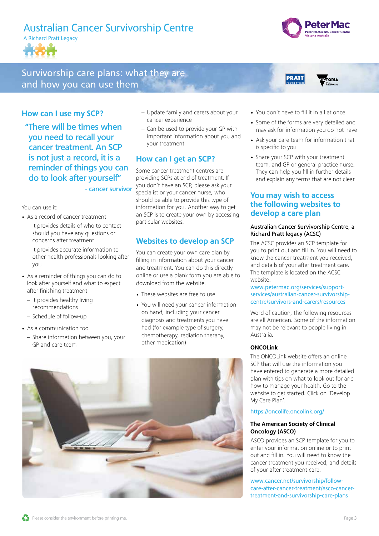

# Survivorship care plans: what they are and how you can use them



**TRTOPIA** 

## How can I use my SCP?

**"There will be times when you need to recall your cancer treatment. An SCP is not just a record, it is a reminder of things you can do to look after yourself" - cancer survivor**

You can use it:

- As a record of cancer treatment
	- It provides details of who to contact should you have any questions or concerns after treatment
	- It provides accurate information to other health professionals looking after you
- As a reminder of things you can do to look after yourself and what to expect after finishing treatment
	- It provides healthy living recommendations
	- Schedule of follow-up
- As a communication tool
	- Share information between you, your GP and care team
- Update family and carers about your cancer experience
- Can be used to provide your GP with important information about you and your treatment

# How can I get an SCP?

Some cancer treatment centres are providing SCPs at end of treatment. If you don't have an SCP, please ask your specialist or your cancer nurse, who should be able to provide this type of information for you. Another way to get an SCP is to create your own by accessing particular websites.

# Websites to develop an SCP

You can create your own care plan by filling in information about your cancer and treatment. You can do this directly online or use a blank form you are able to download from the website.

- These websites are free to use
- You will need your cancer information on hand, including your cancer diagnosis and treatments you have had (for example type of surgery, chemotherapy, radiation therapy, other medication)



**PRATT** 

- Some of the forms are very detailed and may ask for information you do not have
- Ask your care team for information that is specific to you
- Share your SCP with your treatment team, and GP or general practice nurse. They can help you fill in further details and explain any terms that are not clear

## You may wish to access the following websites to develop a care plan

### Australian Cancer Survivorship Centre, a Richard Pratt legacy (ACSC)

The ACSC provides an SCP template for you to print out and fill in. You will need to know the cancer treatment you received, and details of your after treatment care. The template is located on the ACSC website:

#### [www.petermac.org/services/support](https://www.petermac.org/services/support-services/australian-cancer-survivorship-centre/survivors-and-carers/resources)[services/australian-cancer-survivorship](https://www.petermac.org/services/support-services/australian-cancer-survivorship-centre/survivors-and-carers/resources)[centre/survivors-and-carers/resources](https://www.petermac.org/services/support-services/australian-cancer-survivorship-centre/survivors-and-carers/resources)

Word of caution, the following resources are all American. Some of the information may not be relevant to people living in Australia.

## ONCOLink

The ONCOLink website offers an online SCP that will use the information you have entered to generate a more detailed plan with tips on what to look out for and how to manage your health. Go to the website to get started. Click on 'Develop My Care Plan'.

#### <https://oncolife.oncolink.org/>

#### The American Society of Clinical Oncology (ASCO)

ASCO provides an SCP template for you to enter your information online or to print out and fill in. You will need to know the cancer treatment you received, and details of your after treatment care.

[www.cancer.net/survivorship/follow](http://www.cancer.net/survivorship/follow-care-after-cancer-treatment/asco-cancer-treatment-and-survivorship-care-plans)[care-after-cancer-treatment/asco-cancer](http://www.cancer.net/survivorship/follow-care-after-cancer-treatment/asco-cancer-treatment-and-survivorship-care-plans)[treatment-and-survivorship-care-plans](http://www.cancer.net/survivorship/follow-care-after-cancer-treatment/asco-cancer-treatment-and-survivorship-care-plans)